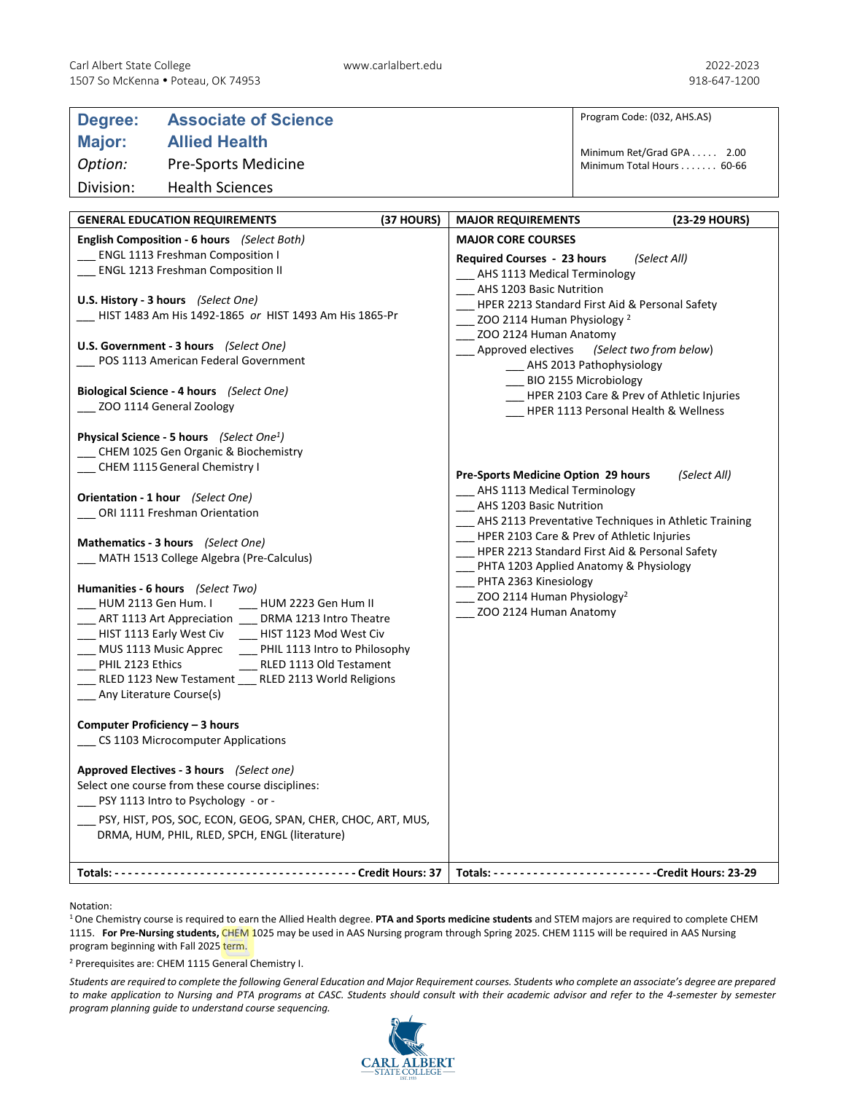| Degree:                                                                                                                                                                                                                   | <b>Associate of Science</b>                                                                                                                |  |                                                                                                                                                                                                                                                                 | Program Code: (032, AHS.AS)                                                                                                                                                                     |  |
|---------------------------------------------------------------------------------------------------------------------------------------------------------------------------------------------------------------------------|--------------------------------------------------------------------------------------------------------------------------------------------|--|-----------------------------------------------------------------------------------------------------------------------------------------------------------------------------------------------------------------------------------------------------------------|-------------------------------------------------------------------------------------------------------------------------------------------------------------------------------------------------|--|
| Major:                                                                                                                                                                                                                    | <b>Allied Health</b>                                                                                                                       |  |                                                                                                                                                                                                                                                                 |                                                                                                                                                                                                 |  |
| Option:                                                                                                                                                                                                                   | <b>Pre-Sports Medicine</b>                                                                                                                 |  |                                                                                                                                                                                                                                                                 | Minimum Ret/Grad GPA 2.00<br>Minimum Total Hours 60-66                                                                                                                                          |  |
| Division:                                                                                                                                                                                                                 | <b>Health Sciences</b>                                                                                                                     |  |                                                                                                                                                                                                                                                                 |                                                                                                                                                                                                 |  |
|                                                                                                                                                                                                                           |                                                                                                                                            |  |                                                                                                                                                                                                                                                                 |                                                                                                                                                                                                 |  |
|                                                                                                                                                                                                                           | (37 HOURS)<br><b>GENERAL EDUCATION REQUIREMENTS</b>                                                                                        |  | <b>MAJOR REQUIREMENTS</b>                                                                                                                                                                                                                                       | (23-29 HOURS)                                                                                                                                                                                   |  |
| English Composition - 6 hours (Select Both)<br><b>ENGL 1113 Freshman Composition I</b><br><b>ENGL 1213 Freshman Composition II</b>                                                                                        |                                                                                                                                            |  | <b>MAJOR CORE COURSES</b><br>Required Courses - 23 hours<br>(Select All)<br>AHS 1113 Medical Terminology<br>AHS 1203 Basic Nutrition                                                                                                                            |                                                                                                                                                                                                 |  |
| U.S. History - 3 hours (Select One)<br>HIST 1483 Am His 1492-1865 or HIST 1493 Am His 1865-Pr                                                                                                                             |                                                                                                                                            |  | HPER 2213 Standard First Aid & Personal Safety                                                                                                                                                                                                                  |                                                                                                                                                                                                 |  |
| U.S. Government - 3 hours (Select One)<br>POS 1113 American Federal Government<br>Biological Science - 4 hours (Select One)<br>__ ZOO 1114 General Zoology                                                                |                                                                                                                                            |  | ZOO 2114 Human Physiology <sup>2</sup><br>ZOO 2124 Human Anatomy<br>Approved electives (Select two from below)<br>__ AHS 2013 Pathophysiology<br>__ BIO 2155 Microbiology<br>HPER 2103 Care & Prev of Athletic Injuries<br>HPER 1113 Personal Health & Wellness |                                                                                                                                                                                                 |  |
| Physical Science - 5 hours (Select One <sup>1</sup> )<br>CHEM 1025 Gen Organic & Biochemistry<br>__ CHEM 1115 General Chemistry I                                                                                         |                                                                                                                                            |  | Pre-Sports Medicine Option 29 hours<br>(Select All)<br>AHS 1113 Medical Terminology                                                                                                                                                                             |                                                                                                                                                                                                 |  |
|                                                                                                                                                                                                                           | Orientation - 1 hour (Select One)<br>__ ORI 1111 Freshman Orientation                                                                      |  | AHS 1203 Basic Nutrition                                                                                                                                                                                                                                        |                                                                                                                                                                                                 |  |
| Mathematics - 3 hours (Select One)<br>MATH 1513 College Algebra (Pre-Calculus)<br>Humanities - 6 hours (Select Two)<br>HUM 2113 Gen Hum. I<br>HUM 2223 Gen Hum II<br>DRMA 1213 Intro Theatre<br>ART 1113 Art Appreciation |                                                                                                                                            |  | PHTA 2363 Kinesiology<br>$\sim$ ZOO 2114 Human Physiology <sup>2</sup><br>ZOO 2124 Human Anatomy                                                                                                                                                                | AHS 2113 Preventative Techniques in Athletic Training<br>HPER 2103 Care & Prev of Athletic Injuries<br>HPER 2213 Standard First Aid & Personal Safety<br>PHTA 1203 Applied Anatomy & Physiology |  |
| HIST 1113 Early West Civ<br>MUS 1113 Music Apprec<br>PHIL 2123 Ethics<br>Any Literature Course(s)                                                                                                                         | HIST 1123 Mod West Civ<br>PHIL 1113 Intro to Philosophy<br>RLED 1113 Old Testament<br>RLED 1123 New Testament __ RLED 2113 World Religions |  |                                                                                                                                                                                                                                                                 |                                                                                                                                                                                                 |  |
| Computer Proficiency - 3 hours<br>CS 1103 Microcomputer Applications                                                                                                                                                      |                                                                                                                                            |  |                                                                                                                                                                                                                                                                 |                                                                                                                                                                                                 |  |
| Approved Electives - 3 hours (Select one)<br>Select one course from these course disciplines:<br>PSY 1113 Intro to Psychology - or -                                                                                      |                                                                                                                                            |  |                                                                                                                                                                                                                                                                 |                                                                                                                                                                                                 |  |
|                                                                                                                                                                                                                           | PSY, HIST, POS, SOC, ECON, GEOG, SPAN, CHER, CHOC, ART, MUS,<br>DRMA, HUM, PHIL, RLED, SPCH, ENGL (literature)                             |  |                                                                                                                                                                                                                                                                 |                                                                                                                                                                                                 |  |
|                                                                                                                                                                                                                           |                                                                                                                                            |  |                                                                                                                                                                                                                                                                 |                                                                                                                                                                                                 |  |

Notation:

1 One Chemistry course is required to earn the Allied Health degree. **PTA and Sports medicine students** and STEM majors are required to complete CHEM 1115. **For Pre-Nursing students,** CHEM 1025 may be used in AAS Nursing program through Spring 2025. CHEM 1115 will be required in AAS Nursing program beginning with Fall 2025 term.

<sup>2</sup> Prerequisites are: CHEM 1115 General Chemistry I.

*Students are required to complete the following General Education and Major Requirement courses. Students who complete an associate's degree are prepared to make application to Nursing and PTA programs at CASC. Students should consult with their academic advisor and refer to the 4-semester by semester program planning guide to understand course sequencing.*